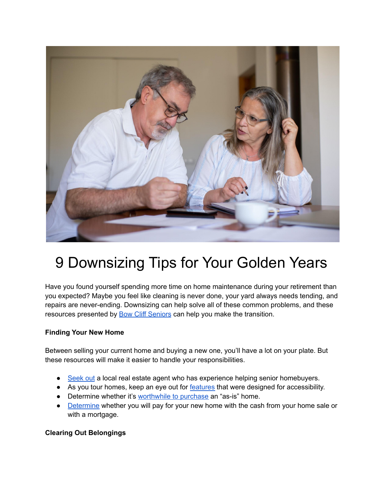

## 9 Downsizing Tips for Your Golden Years

Have you found yourself spending more time on home maintenance during your retirement than you expected? Maybe you feel like cleaning is never done, your yard always needs tending, and repairs are never-ending. Downsizing can help solve all of these common problems, and these resources presented by **Bow Cliff [Seniors](https://bowcliffseniors.org/)** can help you make the transition.

## **Finding Your New Home**

Between selling your current home and buying a new one, you'll have a lot on your plate. But these resources will make it easier to handle your responsibilities.

- [Seek](https://www.goodhousekeeping.com/life/money/a35809366/how-to-find-real-estate-agents/) out a local real estate agent who has experience helping senior homebuyers.
- As you tour homes, keep an eye out for [features](https://piccardhomes.com/accessible-homes-what-seniors-should-look-for-when-buying/) that were designed for accessibility.
- Determine whether it's [worthwhile](https://www.redfin.com/guides/should-you-buy-a-house-as-is) to purchase an "as-is" home.
- [Determine](https://www.nolo.com/legal-encyclopedia/over-60-buying-house-should-borrow-pay-cash.html) whether you will pay for your new home with the cash from your home sale or with a mortgage.

## **Clearing Out Belongings**